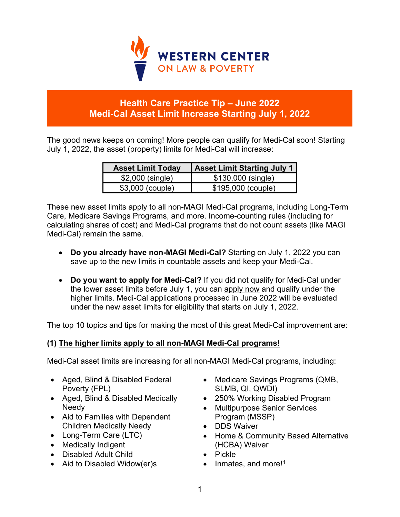

# **Health Care Practice Tip – June 2022 Medi-Cal Asset Limit Increase Starting July 1, 2022**

The good news keeps on coming! More people can qualify for Medi-Cal soon! Starting July 1, 2022, the asset (property) limits for Medi-Cal will increase:

| <b>Asset Limit Today</b> | <b>Asset Limit Starting July 1</b> |
|--------------------------|------------------------------------|
| \$2,000 (single)         | \$130,000 (single)                 |
| \$3,000 (couple)         | \$195,000 (couple)                 |

These new asset limits apply to all non-MAGI Medi-Cal programs, including Long-Term Care, Medicare Savings Programs, and more. Income-counting rules (including for calculating shares of cost) and Medi-Cal programs that do not count assets (like MAGI Medi-Cal) remain the same.

- **Do you already have non-MAGI Medi-Cal?** Starting on July 1, 2022 you can save up to the new limits in countable assets and keep your Medi-Cal.
- **Do you want to apply for Medi-Cal?** If you did not qualify for Medi-Cal under the lower asset limits before July 1, you can apply now and qualify under the higher limits. Medi-Cal applications processed in June 2022 will be evaluated under the new asset limits for eligibility that starts on July 1, 2022.

The top 10 topics and tips for making the most of this great Medi-Cal improvement are:

# **(1) The higher limits apply to all non-MAGI Medi-Cal programs!**

Medi-Cal asset limits are increasing for all non-MAGI Medi-Cal programs, including:

- Aged, Blind & Disabled Federal Poverty (FPL)
- Aged, Blind & Disabled Medically Needy
- Aid to Families with Dependent Children Medically Needy
- Long-Term Care (LTC)
- Medically Indigent
- Disabled Adult Child
- Aid to Disabled Widow(er)s
- Medicare Savings Programs (QMB, SLMB, QI, QWDI)
- 250% Working Disabled Program
- Multipurpose Senior Services Program (MSSP)
- DDS Waiver
- Home & Community Based Alternative (HCBA) Waiver
- Pickle
- $\bullet$  Inmates, and more!<sup>[1](#page-4-0)</sup>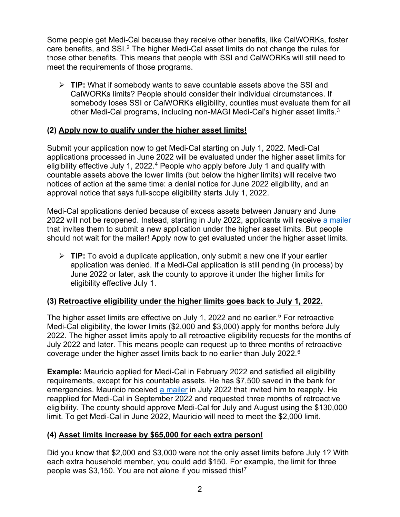Some people get Medi-Cal because they receive other benefits, like CalWORKs, foster care benefits, and SSI.<sup>[2](#page-4-1)</sup> The higher Medi-Cal asset limits do not change the rules for those other benefits. This means that people with SSI and CalWORKs will still need to meet the requirements of those programs.

 **TIP:** What if somebody wants to save countable assets above the SSI and CalWORKs limits? People should consider their individual circumstances. If somebody loses SSI or CalWORKs eligibility, counties must evaluate them for all other Medi-Cal programs, including non-MAGI Medi-Cal's higher asset limits. [3](#page-4-2)

### **(2) Apply now to qualify under the higher asset limits!**

Submit your application now to get Medi-Cal starting on July 1, 2022. Medi-Cal applications processed in June 2022 will be evaluated under the higher asset limits for eligibility effective July 1, 2022.<sup>[4](#page-4-3)</sup> People who apply before July 1 and qualify with countable assets above the lower limits (but below the higher limits) will receive two notices of action at the same time: a denial notice for June 2022 eligibility, and an approval notice that says full-scope eligibility starts July 1, 2022.

Medi-Cal applications denied because of excess assets between January and June 2022 will not be reopened. Instead, starting in July 2022, applicants will receive [a mailer](https://healthconsumer.org/wp/wp-content/uploads/2022/06/Asset-Limits-Phase-1-outreach-letter-FINAL.pdf) that invites them to submit a new application under the higher asset limits. But people should not wait for the mailer! Apply now to get evaluated under the higher asset limits.

 **TIP:** To avoid a duplicate application, only submit a new one if your earlier application was denied. If a Medi-Cal application is still pending (in process) by June 2022 or later, ask the county to approve it under the higher limits for eligibility effective July 1.

### **(3) Retroactive eligibility under the higher limits goes back to July 1, 2022.**

The higher asset limits are effective on July 1, 2022 and no earlier.<sup>[5](#page-4-4)</sup> For retroactive Medi-Cal eligibility, the lower limits (\$2,000 and \$3,000) apply for months before July 2022. The higher asset limits apply to all retroactive eligibility requests for the months of July 2022 and later. This means people can request up to three months of retroactive coverage under the higher asset limits back to no earlier than July 2022. $^{\rm 6}$  $^{\rm 6}$  $^{\rm 6}$ 

**Example:** Mauricio applied for Medi-Cal in February 2022 and satisfied all eligibility requirements, except for his countable assets. He has \$7,500 saved in the bank for emergencies. Mauricio received [a mailer](https://healthconsumer.org/wp/wp-content/uploads/2022/06/Asset-Limits-Phase-1-outreach-letter-FINAL.pdf) in July 2022 that invited him to reapply. He reapplied for Medi-Cal in September 2022 and requested three months of retroactive eligibility. The county should approve Medi-Cal for July and August using the \$130,000 limit. To get Medi-Cal in June 2022, Mauricio will need to meet the \$2,000 limit.

#### **(4) Asset limits increase by \$65,000 for each extra person!**

Did you know that \$2,000 and \$3,000 were not the only asset limits before July 1? With each extra household member, you could add \$150. For example, the limit for three people was \$3,150. You are not alone if you missed this![7](#page-4-6)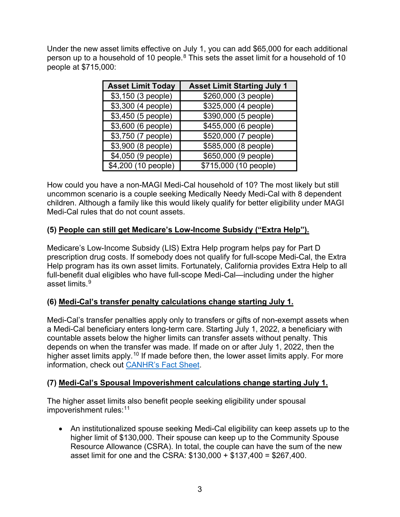Under the new asset limits effective on July 1, you can add \$65,000 for each additional person up to a household of 10 people. $8$  This sets the asset limit for a household of 10 people at \$715,000:

| <b>Asset Limit Today</b> | <b>Asset Limit Starting July 1</b> |
|--------------------------|------------------------------------|
| \$3,150 (3 people)       | \$260,000 (3 people)               |
| \$3,300 (4 people)       | $\sqrt{325,000}$ (4 people)        |
| \$3,450 (5 people)       | \$390,000 (5 people)               |
| \$3,600 (6 people)       | \$455,000 (6 people)               |
| \$3,750 (7 people)       | \$520,000 (7 people)               |
| \$3,900 (8 people)       | \$585,000 (8 people)               |
| \$4,050 (9 people)       | \$650,000 (9 people)               |
| \$4,200 (10 people)      | \$715,000 (10 people)              |

How could you have a non-MAGI Medi-Cal household of 10? The most likely but still uncommon scenario is a couple seeking Medically Needy Medi-Cal with 8 dependent children. Although a family like this would likely qualify for better eligibility under MAGI Medi-Cal rules that do not count assets.

### **(5) People can still get Medicare's Low-Income Subsidy ("Extra Help").**

Medicare's Low-Income Subsidy (LIS) Extra Help program helps pay for Part D prescription drug costs. If somebody does not qualify for full-scope Medi-Cal, the Extra Help program has its own asset limits. Fortunately, California provides Extra Help to all full-benefit dual eligibles who have full-scope Medi-Cal—including under the higher asset limits. [9](#page-4-8)

### **(6) Medi-Cal's transfer penalty calculations change starting July 1.**

Medi-Cal's transfer penalties apply only to transfers or gifts of non-exempt assets when a Medi-Cal beneficiary enters long-term care. Starting July 1, 2022, a beneficiary with countable assets below the higher limits can transfer assets without penalty. This depends on when the transfer was made. If made on or after July 1, 2022, then the higher asset limits apply.<sup>[10](#page-4-9)</sup> If made before then, the lower asset limits apply. For more information, check out [CANHR's Fact Sheet.](http://canhr.org/factsheets/medi-cal_fs/PDFs/FS_Medi-Cal_Asset_Limit_Change.pdf)

### **(7) Medi-Cal's Spousal Impoverishment calculations change starting July 1.**

The higher asset limits also benefit people seeking eligibility under spousal impoverishment rules: [11](#page-4-10)

• An institutionalized spouse seeking Medi-Cal eligibility can keep assets up to the higher limit of \$130,000. Their spouse can keep up to the Community Spouse Resource Allowance (CSRA). In total, the couple can have the sum of the new asset limit for one and the CSRA: \$130,000 + \$137,400 = \$267,400.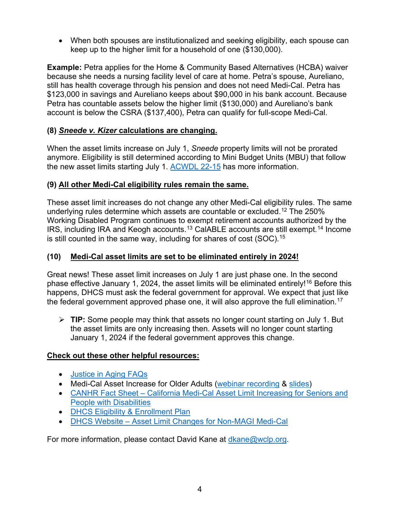• When both spouses are institutionalized and seeking eligibility, each spouse can keep up to the higher limit for a household of one (\$130,000).

**Example:** Petra applies for the Home & Community Based Alternatives (HCBA) waiver because she needs a nursing facility level of care at home. Petra's spouse, Aureliano, still has health coverage through his pension and does not need Medi-Cal. Petra has \$123,000 in savings and Aureliano keeps about \$90,000 in his bank account. Because Petra has countable assets below the higher limit (\$130,000) and Aureliano's bank account is below the CSRA (\$137,400), Petra can qualify for full-scope Medi-Cal.

# **(8)** *Sneede v. Kizer* **calculations are changing.**

When the asset limits increase on July 1, *Sneede* property limits will not be prorated anymore. Eligibility is still determined according to Mini Budget Units (MBU) that follow the new asset limits starting July 1. [ACWDL 22-15](https://www.dhcs.ca.gov/services/medi-cal/eligibility/letters/Documents/22-15.pdf) has more information.

# **(9) All other Medi-Cal eligibility rules remain the same.**

These asset limit increases do not change any other Medi-Cal eligibility rules. The same underlying rules determine which assets are countable or excluded.[12](#page-4-11) The 250% Working Disabled Program continues to exempt retirement accounts authorized by the IRS, including IRA and Keogh accounts.[13](#page-4-12) CalABLE accounts are still exempt.[14](#page-4-13) Income is still counted in the same way, including for shares of cost (SOC).[15](#page-4-14)

# **(10) Medi-Cal asset limits are set to be eliminated entirely in 2024!**

Great news! These asset limit increases on July 1 are just phase one. In the second phase effective January 1, 2024, the asset limits will be eliminated entirely!<sup>[16](#page-4-15)</sup> Before this happens, DHCS must ask the federal government for approval. We expect that just like the federal government approved phase one, it will also approve the full elimination.<sup>[17](#page-4-16)</sup>

 **TIP:** Some people may think that assets no longer count starting on July 1. But the asset limits are only increasing then. Assets will no longer count starting January 1, 2024 if the federal government approves this change.

### **Check out these other helpful resources:**

- [Justice in Aging FAQs](https://justiceinaging.org/wp-content/uploads/2022/05/Medi-Cal-Asset-Limit-Elimination-and-Older-Adult-Expansion-FAQ.pdf)
- Medi-Cal Asset Increase for Older Adults [\(webinar recording](https://vimeo.com/713412391) & [slides\)](https://justiceinaging.org/wp-content/uploads/2022/05/Medi-Cal-Asset-Limit-Changes-5.23.22.pdf)
- CANHR Fact Sheet [California Medi-Cal Asset Limit Increasing for Seniors and](http://canhr.org/factsheets/medi-cal_fs/PDFs/FS_Medi-Cal_Asset_Limit_Change.pdf)  [People with Disabilities](http://canhr.org/factsheets/medi-cal_fs/PDFs/FS_Medi-Cal_Asset_Limit_Change.pdf)
- [DHCS Eligibility & Enrollment Plan](https://www.dhcs.ca.gov/services/medi-cal/eligibility/Documents/Asset-Limit-Changes-Non-MAGI/Eligibility-and-Enrollment-Plan-Asset-Test-Changes-for-Non-MAGI-MC.pdf)
- DHCS Website [Asset Limit Changes for Non-MAGI Medi-Cal](https://www.dhcs.ca.gov/services/medi-cal/eligibility/Pages/Asset-Limit-Changes-for-Non-MAGI-Medi-Cal.aspx)

For more information, please contact David Kane at [dkane@wclp.org.](mailto:dkane@wclp.org)